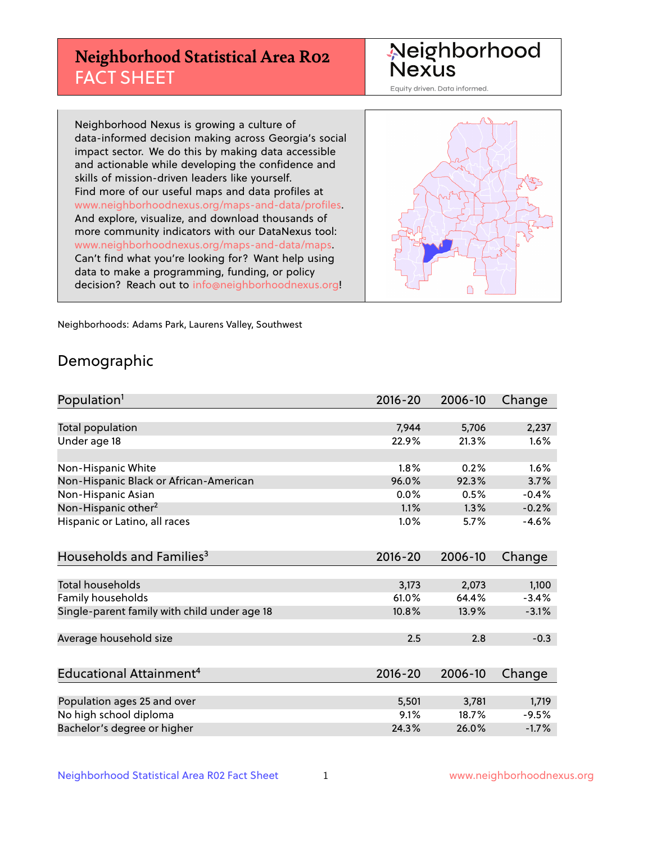# **Neighborhood Statistical Area R02** FACT SHEET

Neighborhood Nexus

Equity driven. Data informed.

Neighborhood Nexus is growing a culture of data-informed decision making across Georgia's social impact sector. We do this by making data accessible and actionable while developing the confidence and skills of mission-driven leaders like yourself. Find more of our useful maps and data profiles at www.neighborhoodnexus.org/maps-and-data/profiles. And explore, visualize, and download thousands of more community indicators with our DataNexus tool: www.neighborhoodnexus.org/maps-and-data/maps. Can't find what you're looking for? Want help using data to make a programming, funding, or policy decision? Reach out to [info@neighborhoodnexus.org!](mailto:info@neighborhoodnexus.org)



Neighborhoods: Adams Park, Laurens Valley, Southwest

### Demographic

| Population <sup>1</sup>                      | $2016 - 20$ | 2006-10 | Change  |
|----------------------------------------------|-------------|---------|---------|
|                                              |             |         |         |
| <b>Total population</b>                      | 7,944       | 5,706   | 2,237   |
| Under age 18                                 | 22.9%       | 21.3%   | 1.6%    |
|                                              |             |         |         |
| Non-Hispanic White                           | 1.8%        | 0.2%    | 1.6%    |
| Non-Hispanic Black or African-American       | 96.0%       | 92.3%   | 3.7%    |
| Non-Hispanic Asian                           | $0.0\%$     | 0.5%    | $-0.4%$ |
| Non-Hispanic other <sup>2</sup>              | 1.1%        | 1.3%    | $-0.2%$ |
| Hispanic or Latino, all races                | 1.0%        | 5.7%    | $-4.6%$ |
|                                              |             |         |         |
| Households and Families <sup>3</sup>         | $2016 - 20$ | 2006-10 | Change  |
|                                              |             |         |         |
| Total households                             | 3,173       | 2,073   | 1,100   |
| Family households                            | 61.0%       | 64.4%   | $-3.4%$ |
| Single-parent family with child under age 18 | 10.8%       | 13.9%   | $-3.1%$ |
|                                              |             |         |         |
| Average household size                       | 2.5         | 2.8     | $-0.3$  |
|                                              |             |         |         |
| Educational Attainment <sup>4</sup>          | $2016 - 20$ | 2006-10 | Change  |
|                                              |             |         |         |
| Population ages 25 and over                  | 5,501       | 3,781   | 1,719   |
| No high school diploma                       | 9.1%        | 18.7%   | $-9.5%$ |
| Bachelor's degree or higher                  | 24.3%       | 26.0%   | $-1.7%$ |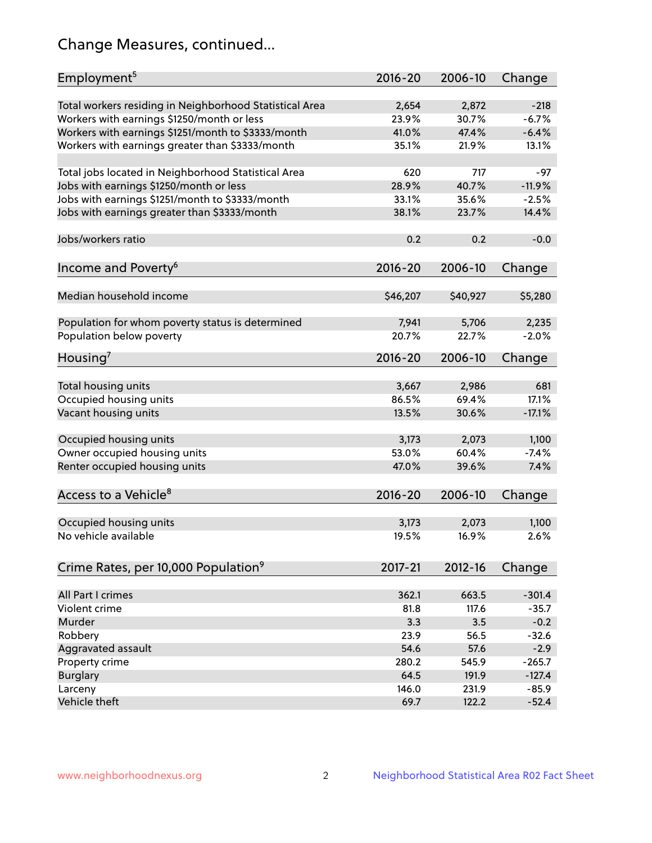# Change Measures, continued...

| Employment <sup>5</sup>                                 | $2016 - 20$ | 2006-10  | Change   |
|---------------------------------------------------------|-------------|----------|----------|
| Total workers residing in Neighborhood Statistical Area | 2,654       | 2,872    | $-218$   |
| Workers with earnings \$1250/month or less              | 23.9%       | 30.7%    | $-6.7%$  |
| Workers with earnings \$1251/month to \$3333/month      | 41.0%       | 47.4%    | $-6.4%$  |
| Workers with earnings greater than \$3333/month         | 35.1%       | 21.9%    | 13.1%    |
|                                                         |             |          |          |
| Total jobs located in Neighborhood Statistical Area     | 620         | 717      | $-97$    |
| Jobs with earnings \$1250/month or less                 | 28.9%       | 40.7%    | $-11.9%$ |
| Jobs with earnings \$1251/month to \$3333/month         | 33.1%       | 35.6%    | $-2.5%$  |
| Jobs with earnings greater than \$3333/month            | 38.1%       | 23.7%    | 14.4%    |
|                                                         |             |          |          |
| Jobs/workers ratio                                      | 0.2         | 0.2      | $-0.0$   |
|                                                         |             |          |          |
| Income and Poverty <sup>6</sup>                         | 2016-20     | 2006-10  | Change   |
|                                                         |             |          |          |
| Median household income                                 | \$46,207    | \$40,927 | \$5,280  |
|                                                         |             |          |          |
|                                                         | 7,941       | 5,706    | 2,235    |
| Population for whom poverty status is determined        | 20.7%       | 22.7%    | $-2.0%$  |
| Population below poverty                                |             |          |          |
| Housing <sup>7</sup>                                    | $2016 - 20$ | 2006-10  | Change   |
|                                                         |             |          |          |
| Total housing units                                     | 3,667       | 2,986    | 681      |
| Occupied housing units                                  | 86.5%       | 69.4%    | 17.1%    |
| Vacant housing units                                    | 13.5%       | 30.6%    | $-17.1%$ |
|                                                         |             |          |          |
| Occupied housing units                                  | 3,173       | 2,073    | 1,100    |
| Owner occupied housing units                            | 53.0%       | 60.4%    | $-7.4%$  |
| Renter occupied housing units                           | 47.0%       | 39.6%    | 7.4%     |
|                                                         |             |          |          |
| Access to a Vehicle <sup>8</sup>                        | $2016 - 20$ | 2006-10  | Change   |
|                                                         |             |          |          |
| Occupied housing units                                  | 3,173       | 2,073    | 1,100    |
| No vehicle available                                    | 19.5%       | 16.9%    | 2.6%     |
|                                                         |             |          |          |
| Crime Rates, per 10,000 Population <sup>9</sup>         | 2017-21     | 2012-16  | Change   |
|                                                         |             |          |          |
| All Part I crimes                                       | 362.1       |          | $-301.4$ |
| Violent crime                                           |             | 663.5    |          |
| Murder                                                  | 81.8        | 117.6    | $-35.7$  |
|                                                         | 3.3         | 3.5      | $-0.2$   |
| Robbery                                                 | 23.9        | 56.5     | $-32.6$  |
| Aggravated assault                                      | 54.6        | 57.6     | $-2.9$   |
| Property crime                                          | 280.2       | 545.9    | $-265.7$ |
| <b>Burglary</b>                                         | 64.5        | 191.9    | $-127.4$ |
| Larceny                                                 | 146.0       | 231.9    | $-85.9$  |
| Vehicle theft                                           | 69.7        | 122.2    | $-52.4$  |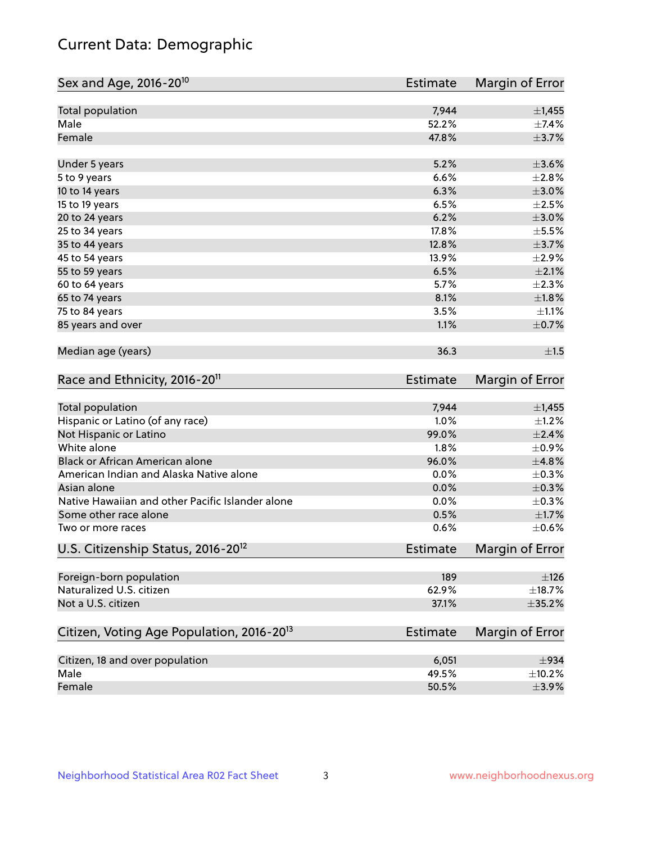# Current Data: Demographic

| Sex and Age, 2016-20 <sup>10</sup>                    | Estimate        | Margin of Error |
|-------------------------------------------------------|-----------------|-----------------|
| Total population                                      | 7,944           | ±1,455          |
| Male                                                  | 52.2%           | $\pm$ 7.4%      |
| Female                                                | 47.8%           | $\pm$ 3.7%      |
| Under 5 years                                         | 5.2%            | $\pm 3.6\%$     |
| 5 to 9 years                                          | 6.6%            | $\pm 2.8\%$     |
| 10 to 14 years                                        | 6.3%            | $\pm 3.0\%$     |
| 15 to 19 years                                        | 6.5%            | $\pm 2.5\%$     |
| 20 to 24 years                                        | 6.2%            | $\pm 3.0\%$     |
| 25 to 34 years                                        | 17.8%           | $\pm$ 5.5%      |
| 35 to 44 years                                        | 12.8%           | $\pm$ 3.7%      |
| 45 to 54 years                                        | 13.9%           | $\pm 2.9\%$     |
| 55 to 59 years                                        | 6.5%            | $\pm 2.1\%$     |
| 60 to 64 years                                        | 5.7%            | $\pm 2.3\%$     |
| 65 to 74 years                                        | 8.1%            | $\pm1.8\%$      |
| 75 to 84 years                                        | 3.5%            | $\pm 1.1\%$     |
| 85 years and over                                     | 1.1%            | $\pm$ 0.7%      |
| Median age (years)                                    | 36.3            | ±1.5            |
| Race and Ethnicity, 2016-20 <sup>11</sup>             | <b>Estimate</b> | Margin of Error |
| Total population                                      | 7,944           | ±1,455          |
| Hispanic or Latino (of any race)                      | 1.0%            | $\pm 1.2\%$     |
| Not Hispanic or Latino                                | 99.0%           | $\pm 2.4\%$     |
| White alone                                           | 1.8%            | $\pm$ 0.9%      |
| Black or African American alone                       | 96.0%           | ±4.8%           |
| American Indian and Alaska Native alone               | 0.0%            | $\pm$ 0.3%      |
| Asian alone                                           | 0.0%            | $\pm$ 0.3%      |
| Native Hawaiian and other Pacific Islander alone      | 0.0%            | $\pm$ 0.3%      |
| Some other race alone                                 | 0.5%            | $\pm 1.7\%$     |
| Two or more races                                     | 0.6%            | $\pm$ 0.6%      |
| U.S. Citizenship Status, 2016-20 <sup>12</sup>        | Estimate        | Margin of Error |
| Foreign-born population                               | 189             | $\pm$ 126       |
| Naturalized U.S. citizen                              | 62.9%           | $\pm$ 18.7%     |
| Not a U.S. citizen                                    | 37.1%           | ±35.2%          |
| Citizen, Voting Age Population, 2016-20 <sup>13</sup> | Estimate        | Margin of Error |
| Citizen, 18 and over population                       | 6,051           | $\pm$ 934       |
| Male                                                  | 49.5%           | ±10.2%          |
| Female                                                | 50.5%           | $\pm$ 3.9%      |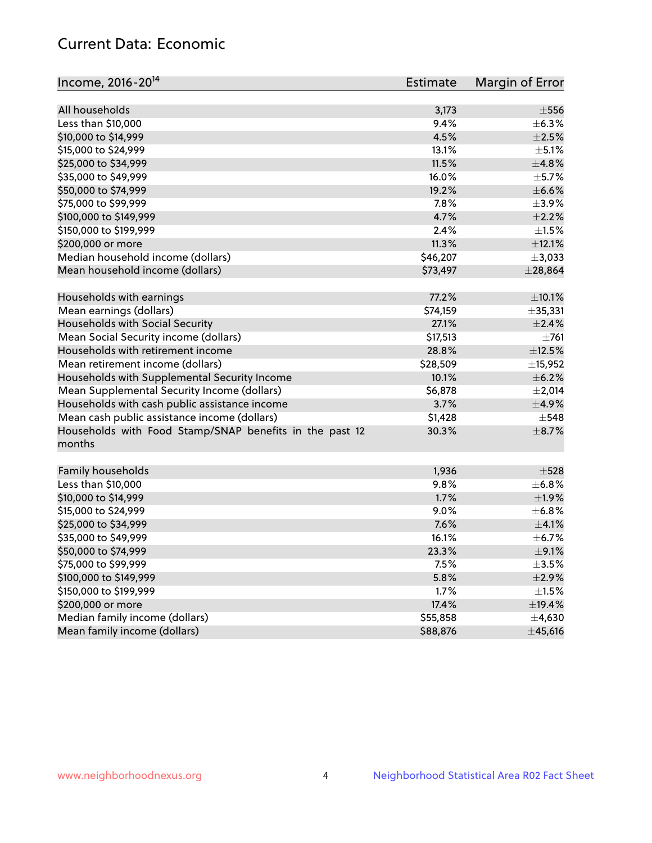# Current Data: Economic

| Income, 2016-20 <sup>14</sup>                                     | Estimate      | Margin of Error |
|-------------------------------------------------------------------|---------------|-----------------|
|                                                                   |               |                 |
| All households                                                    | 3,173         | $\pm$ 556       |
| Less than \$10,000                                                | 9.4%          | $\pm$ 6.3%      |
| \$10,000 to \$14,999                                              | 4.5%          | $\pm 2.5\%$     |
| \$15,000 to \$24,999                                              | 13.1%         | $\pm$ 5.1%      |
| \$25,000 to \$34,999                                              | 11.5%         | ±4.8%           |
| \$35,000 to \$49,999                                              | 16.0%         | $\pm$ 5.7%      |
| \$50,000 to \$74,999                                              | 19.2%         | $\pm$ 6.6%      |
| \$75,000 to \$99,999                                              | 7.8%          | $\pm$ 3.9%      |
| \$100,000 to \$149,999                                            | 4.7%          | $\pm 2.2\%$     |
| \$150,000 to \$199,999                                            | 2.4%          | $\pm 1.5\%$     |
| \$200,000 or more                                                 | 11.3%         | ±12.1%          |
| Median household income (dollars)                                 | \$46,207      | ±3,033          |
| Mean household income (dollars)                                   | \$73,497      | $±$ 28,864      |
| Households with earnings                                          | 77.2%         | ±10.1%          |
| Mean earnings (dollars)                                           | \$74,159      | ±35,331         |
| Households with Social Security                                   | 27.1%         | $\pm 2.4\%$     |
| Mean Social Security income (dollars)                             | \$17,513      | $\pm 761$       |
| Households with retirement income                                 | 28.8%         | $\pm$ 12.5%     |
| Mean retirement income (dollars)                                  | \$28,509      | ±15,952         |
| Households with Supplemental Security Income                      | 10.1%         | $\pm$ 6.2%      |
| Mean Supplemental Security Income (dollars)                       | \$6,878       | $\pm 2,014$     |
| Households with cash public assistance income                     | 3.7%          | $\pm$ 4.9%      |
| Mean cash public assistance income (dollars)                      | \$1,428       | $\pm$ 548       |
|                                                                   | 30.3%         | $\pm$ 8.7%      |
| Households with Food Stamp/SNAP benefits in the past 12<br>months |               |                 |
| Family households                                                 | 1,936         | $\pm$ 528       |
| Less than \$10,000                                                | 9.8%          | ±6.8%           |
| \$10,000 to \$14,999                                              | 1.7%          | ±1.9%           |
| \$15,000 to \$24,999                                              | 9.0%          | $\pm$ 6.8%      |
| \$25,000 to \$34,999                                              | 7.6%          | $\pm$ 4.1%      |
| \$35,000 to \$49,999                                              | 16.1%         | $\pm$ 6.7%      |
|                                                                   |               | $\pm$ 9.1%      |
| \$50,000 to \$74,999                                              | 23.3%<br>7.5% |                 |
| \$75,000 to \$99,999                                              |               | $\pm$ 3.5%      |
| \$100,000 to \$149,999                                            | 5.8%          | $\pm 2.9\%$     |
| \$150,000 to \$199,999                                            | 1.7%          | $\pm 1.5\%$     |
| \$200,000 or more                                                 | 17.4%         | ±19.4%          |
| Median family income (dollars)                                    | \$55,858      | $\pm$ 4,630     |
| Mean family income (dollars)                                      | \$88,876      | ±45,616         |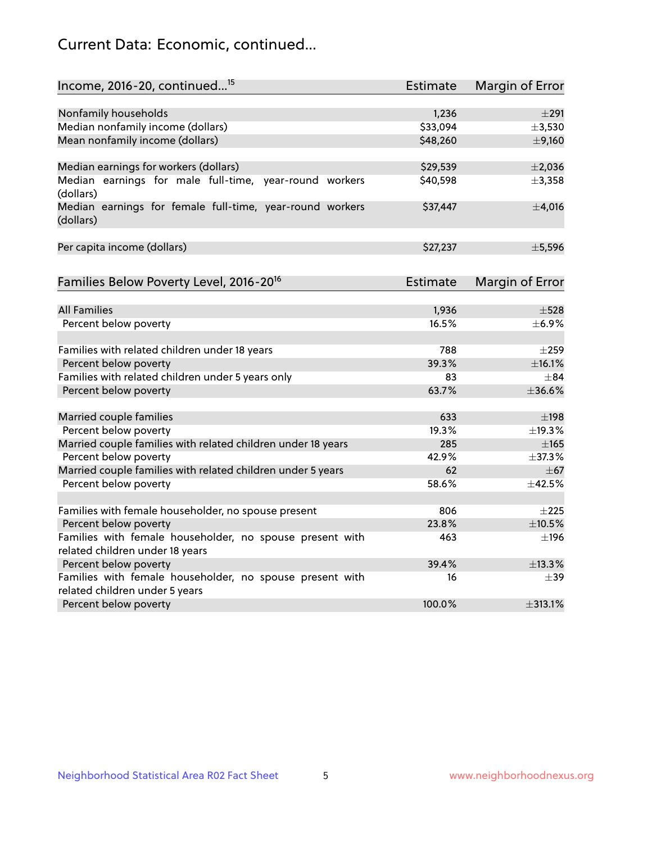# Current Data: Economic, continued...

| Income, 2016-20, continued <sup>15</sup>                                              | <b>Estimate</b> | <b>Margin of Error</b>   |
|---------------------------------------------------------------------------------------|-----------------|--------------------------|
|                                                                                       |                 |                          |
| Nonfamily households                                                                  | 1,236           | $\pm 291$                |
| Median nonfamily income (dollars)                                                     | \$33,094        | ±3,530                   |
| Mean nonfamily income (dollars)                                                       | \$48,260        | $\pm$ 9,160              |
| Median earnings for workers (dollars)                                                 | \$29,539        | $\pm 2,036$              |
| Median earnings for male full-time, year-round workers<br>(dollars)                   | \$40,598        | ±3,358                   |
| Median earnings for female full-time, year-round workers<br>(dollars)                 | \$37,447        | $\pm$ 4,016              |
| Per capita income (dollars)                                                           | \$27,237        | ±5,596                   |
| Families Below Poverty Level, 2016-20 <sup>16</sup>                                   | <b>Estimate</b> | <b>Margin of Error</b>   |
|                                                                                       |                 |                          |
| <b>All Families</b>                                                                   | 1,936           | $\pm$ 528                |
| Percent below poverty                                                                 | 16.5%           | $\pm$ 6.9%               |
| Families with related children under 18 years                                         | 788             | $\pm 259$                |
| Percent below poverty                                                                 | 39.3%           | ±16.1%                   |
| Families with related children under 5 years only                                     | 83              | $+84$                    |
| Percent below poverty                                                                 | 63.7%           | ±36.6%                   |
|                                                                                       | 633             | $\pm$ 198                |
| Married couple families                                                               |                 |                          |
| Percent below poverty                                                                 | 19.3%           | ±19.3%                   |
| Married couple families with related children under 18 years<br>Percent below poverty | 285<br>42.9%    | $\pm 165$<br>$\pm$ 37.3% |
| Married couple families with related children under 5 years                           | 62              | $\pm$ 67                 |
| Percent below poverty                                                                 | 58.6%           | ±42.5%                   |
|                                                                                       |                 |                          |
| Families with female householder, no spouse present                                   | 806             | $\pm 225$                |
| Percent below poverty                                                                 | 23.8%           | ±10.5%                   |
| Families with female householder, no spouse present with                              | 463             | ±196                     |
| related children under 18 years                                                       |                 |                          |
| Percent below poverty                                                                 | 39.4%           | ±13.3%                   |
| Families with female householder, no spouse present with                              | 16              | $\pm$ 39                 |
| related children under 5 years                                                        |                 |                          |
| Percent below poverty                                                                 | 100.0%          | ±313.1%                  |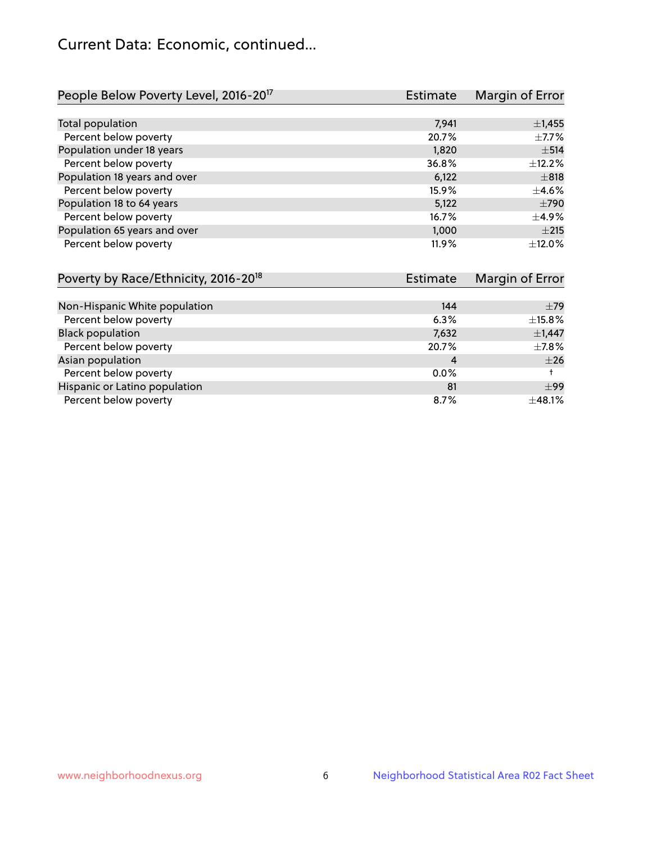# Current Data: Economic, continued...

| People Below Poverty Level, 2016-20 <sup>17</sup> | <b>Estimate</b> | Margin of Error |
|---------------------------------------------------|-----------------|-----------------|
|                                                   |                 |                 |
| Total population                                  | 7,941           | $\pm$ 1,455     |
| Percent below poverty                             | 20.7%           | $\pm$ 7.7%      |
| Population under 18 years                         | 1,820           | $\pm$ 514       |
| Percent below poverty                             | 36.8%           | ±12.2%          |
| Population 18 years and over                      | 6,122           | $\pm$ 818       |
| Percent below poverty                             | 15.9%           | $\pm 4.6\%$     |
| Population 18 to 64 years                         | 5,122           | $\pm 790$       |
| Percent below poverty                             | 16.7%           | $\pm$ 4.9%      |
| Population 65 years and over                      | 1,000           | $\pm 215$       |
| Percent below poverty                             | 11.9%           | ±12.0%          |

| Poverty by Race/Ethnicity, 2016-20 <sup>18</sup> | Estimate |             |
|--------------------------------------------------|----------|-------------|
|                                                  |          |             |
| Non-Hispanic White population                    | 144      | $\pm$ 79    |
| Percent below poverty                            | 6.3%     | $\pm$ 15.8% |
| <b>Black population</b>                          | 7,632    | $\pm$ 1,447 |
| Percent below poverty                            | 20.7%    | $\pm$ 7.8%  |
| Asian population                                 | 4        | $\pm 26$    |
| Percent below poverty                            | $0.0\%$  |             |
| Hispanic or Latino population                    | 81       | ±99         |
| Percent below poverty                            | 8.7%     | ±48.1%      |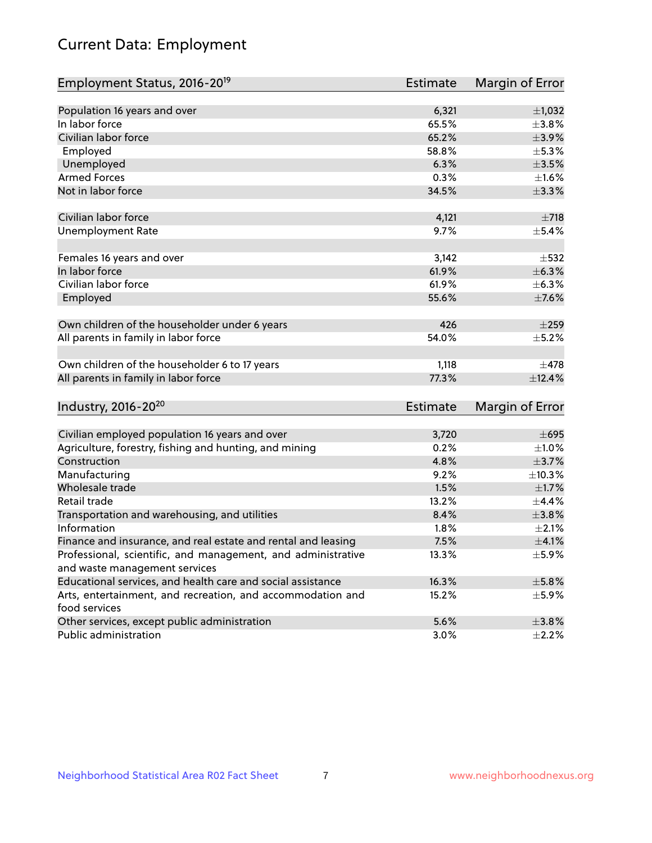# Current Data: Employment

| Employment Status, 2016-20 <sup>19</sup>                                    | <b>Estimate</b> | Margin of Error |
|-----------------------------------------------------------------------------|-----------------|-----------------|
|                                                                             |                 |                 |
| Population 16 years and over                                                | 6,321           | $\pm$ 1,032     |
| In labor force                                                              | 65.5%           | ±3.8%           |
| Civilian labor force                                                        | 65.2%           | $\pm$ 3.9%      |
| Employed                                                                    | 58.8%           | $\pm$ 5.3%      |
| Unemployed                                                                  | 6.3%            | $\pm 3.5\%$     |
| <b>Armed Forces</b>                                                         | 0.3%            | $\pm1.6\%$      |
| Not in labor force                                                          | 34.5%           | ±3.3%           |
| Civilian labor force                                                        | 4,121           | $\pm 718$       |
| <b>Unemployment Rate</b>                                                    | 9.7%            | $\pm$ 5.4%      |
| Females 16 years and over                                                   | 3,142           | $\pm$ 532       |
| In labor force                                                              | 61.9%           | ±6.3%           |
| Civilian labor force                                                        | 61.9%           | ±6.3%           |
| Employed                                                                    | 55.6%           | $\pm$ 7.6%      |
|                                                                             |                 |                 |
| Own children of the householder under 6 years                               | 426             | $\pm 259$       |
| All parents in family in labor force                                        | 54.0%           | $\pm$ 5.2%      |
|                                                                             |                 |                 |
| Own children of the householder 6 to 17 years                               | 1,118           | $\pm$ 478       |
| All parents in family in labor force                                        | 77.3%           | ±12.4%          |
|                                                                             |                 |                 |
| Industry, 2016-20 <sup>20</sup>                                             | Estimate        | Margin of Error |
|                                                                             |                 |                 |
| Civilian employed population 16 years and over                              | 3,720           | $\pm 695$       |
| Agriculture, forestry, fishing and hunting, and mining                      | 0.2%            | $\pm 1.0\%$     |
| Construction                                                                | 4.8%            | $\pm$ 3.7%      |
| Manufacturing                                                               | 9.2%            | ±10.3%          |
| Wholesale trade                                                             | 1.5%            | $\pm1.7\%$      |
| Retail trade                                                                | 13.2%           | $\pm$ 4.4%      |
| Transportation and warehousing, and utilities                               | 8.4%            | $\pm$ 3.8%      |
| Information                                                                 | 1.8%            | $\pm 2.1\%$     |
| Finance and insurance, and real estate and rental and leasing               | 7.5%            | $\pm 4.1\%$     |
| Professional, scientific, and management, and administrative                | 13.3%           | $\pm$ 5.9%      |
| and waste management services                                               |                 |                 |
| Educational services, and health care and social assistance                 | 16.3%           | $\pm$ 5.8%      |
| Arts, entertainment, and recreation, and accommodation and<br>food services | 15.2%           | $\pm$ 5.9%      |
| Other services, except public administration                                | 5.6%            | ±3.8%           |
| Public administration                                                       | 3.0%            | $\pm 2.2\%$     |
|                                                                             |                 |                 |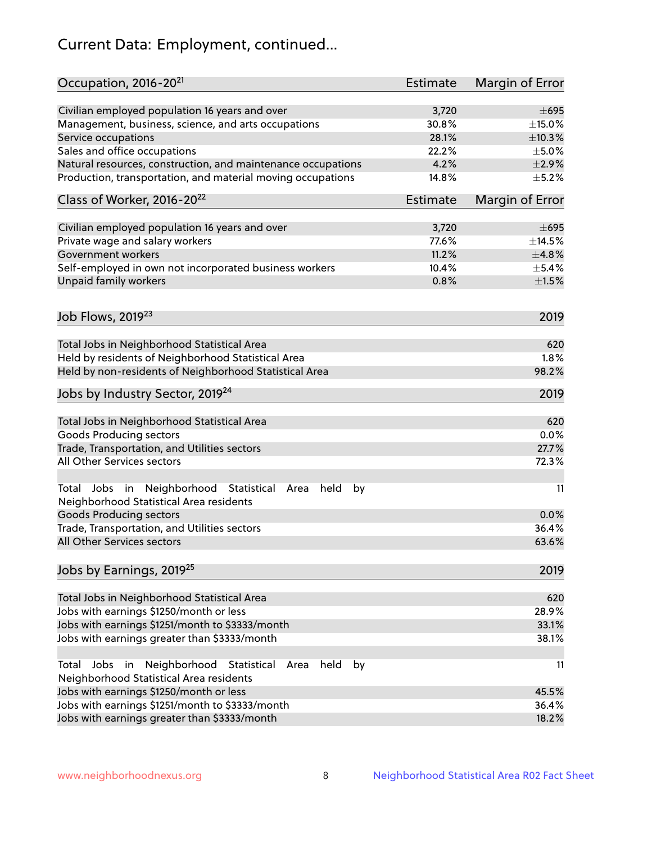# Current Data: Employment, continued...

| Occupation, 2016-20 <sup>21</sup>                                                                       | <b>Estimate</b> | Margin of Error |
|---------------------------------------------------------------------------------------------------------|-----------------|-----------------|
| Civilian employed population 16 years and over                                                          | 3,720           | $\pm 695$       |
| Management, business, science, and arts occupations                                                     | 30.8%           | $\pm$ 15.0%     |
| Service occupations                                                                                     | 28.1%           | ±10.3%          |
| Sales and office occupations                                                                            | 22.2%           | $\pm$ 5.0%      |
| Natural resources, construction, and maintenance occupations                                            | 4.2%            | $\pm 2.9\%$     |
| Production, transportation, and material moving occupations                                             | 14.8%           | $\pm$ 5.2%      |
| Class of Worker, 2016-20 <sup>22</sup>                                                                  | <b>Estimate</b> | Margin of Error |
| Civilian employed population 16 years and over                                                          | 3,720           | $\pm 695$       |
| Private wage and salary workers                                                                         | 77.6%           | ±14.5%          |
| Government workers                                                                                      | 11.2%           | ±4.8%           |
| Self-employed in own not incorporated business workers                                                  | 10.4%           | $\pm$ 5.4%      |
| Unpaid family workers                                                                                   | 0.8%            | $\pm 1.5\%$     |
|                                                                                                         |                 |                 |
| Job Flows, 2019 <sup>23</sup>                                                                           |                 | 2019            |
| Total Jobs in Neighborhood Statistical Area                                                             |                 | 620             |
| Held by residents of Neighborhood Statistical Area                                                      |                 | 1.8%            |
| Held by non-residents of Neighborhood Statistical Area                                                  |                 | 98.2%           |
|                                                                                                         |                 |                 |
| Jobs by Industry Sector, 2019 <sup>24</sup>                                                             |                 | 2019            |
| Total Jobs in Neighborhood Statistical Area                                                             |                 | 620             |
| <b>Goods Producing sectors</b>                                                                          |                 | 0.0%            |
| Trade, Transportation, and Utilities sectors                                                            |                 | 27.7%           |
| All Other Services sectors                                                                              |                 | 72.3%           |
| Total Jobs in Neighborhood Statistical<br>held<br>by<br>Area<br>Neighborhood Statistical Area residents |                 | 11              |
| <b>Goods Producing sectors</b>                                                                          |                 | 0.0%            |
| Trade, Transportation, and Utilities sectors                                                            |                 | 36.4%           |
| All Other Services sectors                                                                              |                 | 63.6%           |
| Jobs by Earnings, 2019 <sup>25</sup>                                                                    |                 | 2019            |
| Total Jobs in Neighborhood Statistical Area                                                             |                 | 620             |
| Jobs with earnings \$1250/month or less                                                                 |                 | 28.9%           |
| Jobs with earnings \$1251/month to \$3333/month                                                         |                 | 33.1%           |
| Jobs with earnings greater than \$3333/month                                                            |                 | 38.1%           |
| Neighborhood Statistical<br>Jobs<br>in<br>held<br>by<br>Total<br>Area                                   |                 | 11              |
| Neighborhood Statistical Area residents                                                                 |                 |                 |
| Jobs with earnings \$1250/month or less                                                                 |                 | 45.5%           |
| Jobs with earnings \$1251/month to \$3333/month                                                         |                 | 36.4%           |
| Jobs with earnings greater than \$3333/month                                                            |                 | 18.2%           |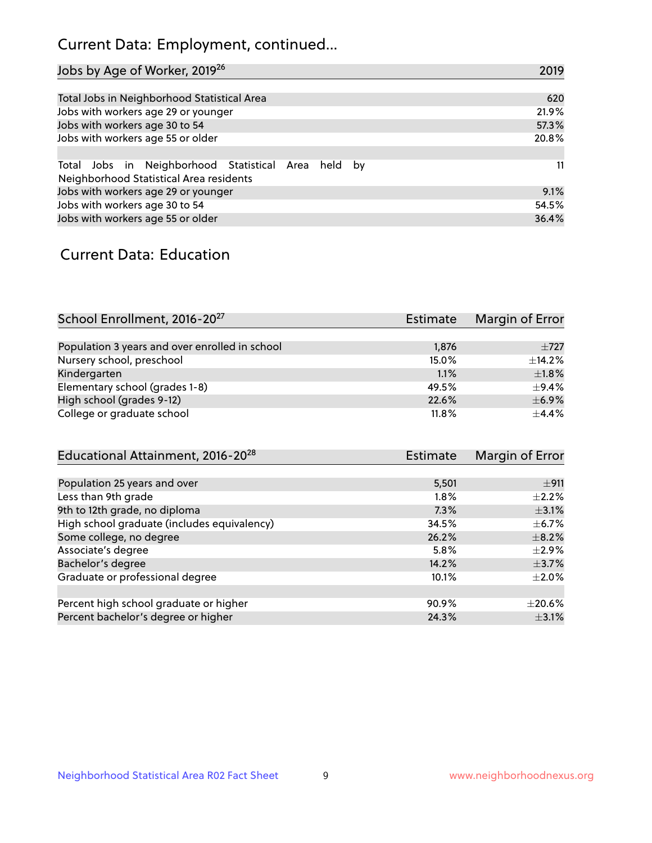# Current Data: Employment, continued...

| Jobs by Age of Worker, 2019 <sup>26</sup>                                                      | 2019  |
|------------------------------------------------------------------------------------------------|-------|
|                                                                                                |       |
| Total Jobs in Neighborhood Statistical Area                                                    | 620   |
| Jobs with workers age 29 or younger                                                            | 21.9% |
| Jobs with workers age 30 to 54                                                                 | 57.3% |
| Jobs with workers age 55 or older                                                              | 20.8% |
|                                                                                                |       |
| Total Jobs in Neighborhood Statistical Area held by<br>Neighborhood Statistical Area residents | 11    |
| Jobs with workers age 29 or younger                                                            | 9.1%  |
| Jobs with workers age 30 to 54                                                                 | 54.5% |
| Jobs with workers age 55 or older                                                              | 36.4% |

### Current Data: Education

| School Enrollment, 2016-20 <sup>27</sup>       | <b>Estimate</b> | Margin of Error |
|------------------------------------------------|-----------------|-----------------|
|                                                |                 |                 |
| Population 3 years and over enrolled in school | 1,876           | $+727$          |
| Nursery school, preschool                      | 15.0%           | $\pm$ 14.2%     |
| Kindergarten                                   | 1.1%            | $\pm$ 1.8%      |
| Elementary school (grades 1-8)                 | 49.5%           | $\pm$ 9.4%      |
| High school (grades 9-12)                      | 22.6%           | $\pm$ 6.9%      |
| College or graduate school                     | 11.8%           | $\pm$ 4.4%      |

| Educational Attainment, 2016-20 <sup>28</sup> | <b>Estimate</b> | Margin of Error |
|-----------------------------------------------|-----------------|-----------------|
|                                               |                 |                 |
| Population 25 years and over                  | 5,501           | ±911            |
| Less than 9th grade                           | $1.8\%$         | $+2.2%$         |
| 9th to 12th grade, no diploma                 | 7.3%            | $\pm$ 3.1%      |
| High school graduate (includes equivalency)   | 34.5%           | $\pm$ 6.7%      |
| Some college, no degree                       | 26.2%           | $\pm$ 8.2%      |
| Associate's degree                            | 5.8%            | $\pm 2.9\%$     |
| Bachelor's degree                             | 14.2%           | $\pm$ 3.7%      |
| Graduate or professional degree               | 10.1%           | $\pm 2.0\%$     |
|                                               |                 |                 |
| Percent high school graduate or higher        | 90.9%           | $\pm 20.6\%$    |
| Percent bachelor's degree or higher           | 24.3%           | $\pm$ 3.1%      |
|                                               |                 |                 |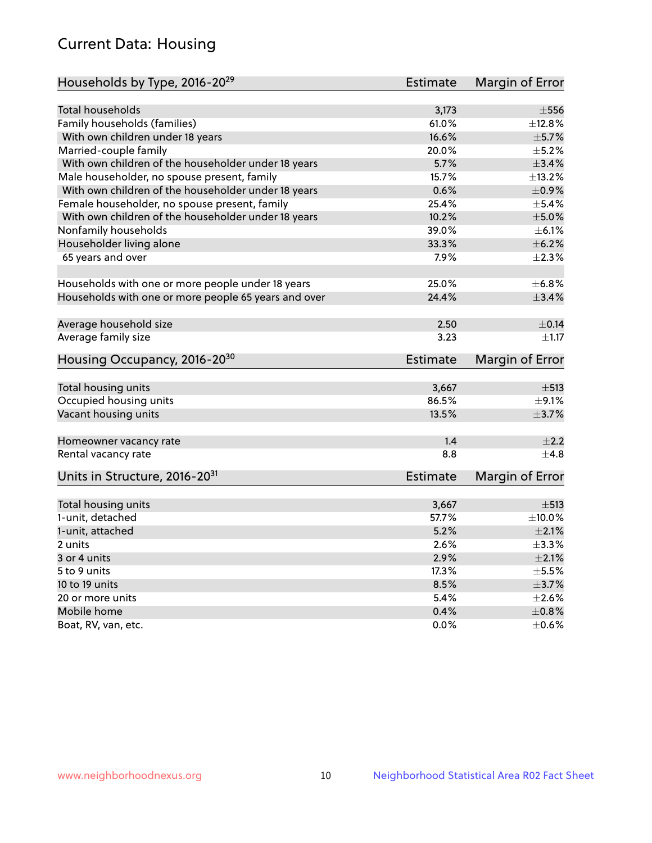# Current Data: Housing

| Households by Type, 2016-20 <sup>29</sup>            | Estimate        | Margin of Error |
|------------------------------------------------------|-----------------|-----------------|
|                                                      |                 |                 |
| Total households                                     | 3,173           | $\pm$ 556       |
| Family households (families)                         | 61.0%           | ±12.8%          |
| With own children under 18 years                     | 16.6%           | $\pm$ 5.7%      |
| Married-couple family                                | 20.0%           | $\pm$ 5.2%      |
| With own children of the householder under 18 years  | 5.7%            | $\pm$ 3.4%      |
| Male householder, no spouse present, family          | 15.7%           | ±13.2%          |
| With own children of the householder under 18 years  | 0.6%            | $\pm$ 0.9%      |
| Female householder, no spouse present, family        | 25.4%           | $\pm$ 5.4%      |
| With own children of the householder under 18 years  | 10.2%           | $\pm$ 5.0%      |
| Nonfamily households                                 | 39.0%           | $\pm$ 6.1%      |
| Householder living alone                             | 33.3%           | $\pm$ 6.2%      |
| 65 years and over                                    | 7.9%            | $\pm 2.3\%$     |
|                                                      |                 |                 |
| Households with one or more people under 18 years    | 25.0%           | ±6.8%           |
| Households with one or more people 65 years and over | 24.4%           | $\pm$ 3.4%      |
|                                                      |                 |                 |
| Average household size                               | 2.50            | $\pm$ 0.14      |
| Average family size                                  | 3.23            | $\pm 1.17$      |
| Housing Occupancy, 2016-20 <sup>30</sup>             | <b>Estimate</b> | Margin of Error |
| Total housing units                                  | 3,667           | $\pm$ 513       |
| Occupied housing units                               | 86.5%           | $\pm$ 9.1%      |
| Vacant housing units                                 | 13.5%           | $\pm$ 3.7%      |
|                                                      |                 |                 |
| Homeowner vacancy rate                               | 1.4             | $\pm 2.2$       |
| Rental vacancy rate                                  | 8.8             | $+4.8$          |
| Units in Structure, 2016-20 <sup>31</sup>            | <b>Estimate</b> | Margin of Error |
|                                                      |                 |                 |
| Total housing units                                  | 3,667           | $\pm$ 513       |
| 1-unit, detached                                     | 57.7%           | $\pm$ 10.0%     |
| 1-unit, attached                                     | 5.2%            | $\pm 2.1\%$     |
| 2 units                                              | 2.6%            | ±3.3%           |
| 3 or 4 units                                         | 2.9%            | $\pm 2.1\%$     |
| 5 to 9 units                                         | 17.3%           | $\pm$ 5.5%      |
| 10 to 19 units                                       | 8.5%            | $\pm$ 3.7%      |
| 20 or more units                                     | 5.4%            | $\pm 2.6\%$     |
| Mobile home                                          | 0.4%            | $\pm$ 0.8%      |
| Boat, RV, van, etc.                                  | $0.0\%$         | $\pm$ 0.6%      |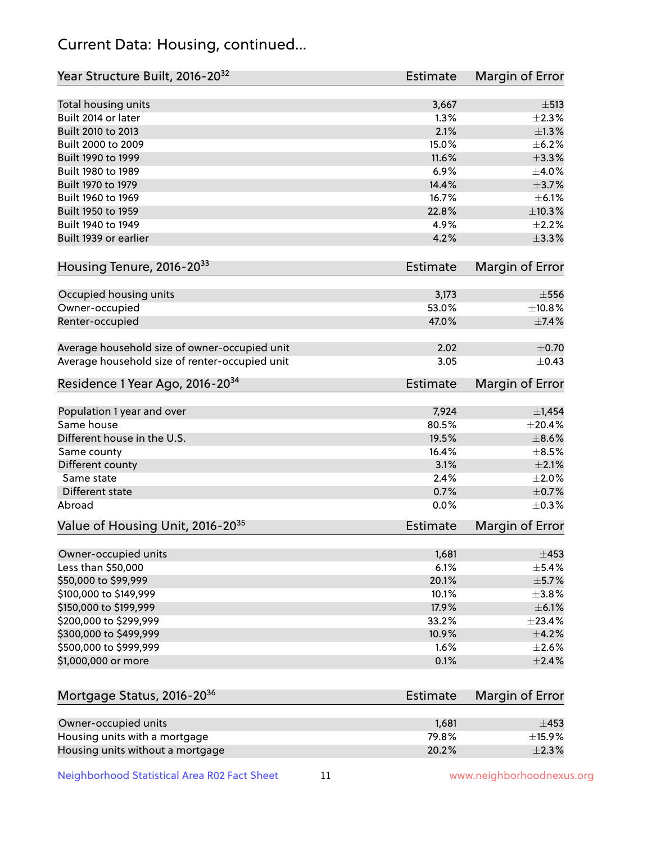# Current Data: Housing, continued...

| Total housing units<br>3,667<br>$\pm$ 513<br>Built 2014 or later<br>1.3%<br>2.1%<br>Built 2010 to 2013<br>Built 2000 to 2009<br>15.0%<br>Built 1990 to 1999<br>11.6%<br>6.9%<br>Built 1980 to 1989<br>Built 1970 to 1979<br>14.4%<br>Built 1960 to 1969<br>16.7%<br>Built 1950 to 1959<br>22.8%<br>Built 1940 to 1949<br>4.9%<br>Built 1939 or earlier<br>4.2%<br>Housing Tenure, 2016-2033<br><b>Estimate</b><br>Occupied housing units<br>3,173<br>Owner-occupied<br>53.0%<br>47.0%<br>Renter-occupied<br>Average household size of owner-occupied unit<br>2.02<br>Average household size of renter-occupied unit<br>3.05<br>Residence 1 Year Ago, 2016-20 <sup>34</sup><br><b>Estimate</b><br>Population 1 year and over<br>7,924<br>$\pm$ 1,454<br>Same house<br>80.5%<br>±20.4%<br>Different house in the U.S.<br>19.5%<br>$\pm$ 8.6%<br>16.4%<br>Same county<br>$\pm$ 8.5%<br>Different county<br>3.1%<br>$\pm 2.1\%$<br>Same state<br>2.4%<br>Different state<br>0.7%<br>0.0%<br>Abroad<br>Value of Housing Unit, 2016-20 <sup>35</sup><br><b>Estimate</b><br>Owner-occupied units<br>1,681<br>Less than \$50,000<br>6.1%<br>\$50,000 to \$99,999<br>20.1%<br>\$100,000 to \$149,999<br>10.1%<br>\$150,000 to \$199,999<br>17.9%<br>\$200,000 to \$299,999<br>33.2%<br>\$300,000 to \$499,999<br>10.9%<br>\$500,000 to \$999,999<br>1.6%<br>\$1,000,000 or more<br>0.1%<br>Mortgage Status, 2016-20 <sup>36</sup><br><b>Estimate</b><br>Owner-occupied units<br>1,681<br>$\pm$ 453<br>79.8% | Year Structure Built, 2016-20 <sup>32</sup> | <b>Estimate</b> | <b>Margin of Error</b> |
|----------------------------------------------------------------------------------------------------------------------------------------------------------------------------------------------------------------------------------------------------------------------------------------------------------------------------------------------------------------------------------------------------------------------------------------------------------------------------------------------------------------------------------------------------------------------------------------------------------------------------------------------------------------------------------------------------------------------------------------------------------------------------------------------------------------------------------------------------------------------------------------------------------------------------------------------------------------------------------------------------------------------------------------------------------------------------------------------------------------------------------------------------------------------------------------------------------------------------------------------------------------------------------------------------------------------------------------------------------------------------------------------------------------------------------------------------------------------------------------------------|---------------------------------------------|-----------------|------------------------|
|                                                                                                                                                                                                                                                                                                                                                                                                                                                                                                                                                                                                                                                                                                                                                                                                                                                                                                                                                                                                                                                                                                                                                                                                                                                                                                                                                                                                                                                                                                    |                                             |                 |                        |
|                                                                                                                                                                                                                                                                                                                                                                                                                                                                                                                                                                                                                                                                                                                                                                                                                                                                                                                                                                                                                                                                                                                                                                                                                                                                                                                                                                                                                                                                                                    |                                             |                 | $\pm 2.3\%$            |
|                                                                                                                                                                                                                                                                                                                                                                                                                                                                                                                                                                                                                                                                                                                                                                                                                                                                                                                                                                                                                                                                                                                                                                                                                                                                                                                                                                                                                                                                                                    |                                             |                 | $\pm 1.3\%$            |
|                                                                                                                                                                                                                                                                                                                                                                                                                                                                                                                                                                                                                                                                                                                                                                                                                                                                                                                                                                                                                                                                                                                                                                                                                                                                                                                                                                                                                                                                                                    |                                             |                 | $\pm$ 6.2%             |
|                                                                                                                                                                                                                                                                                                                                                                                                                                                                                                                                                                                                                                                                                                                                                                                                                                                                                                                                                                                                                                                                                                                                                                                                                                                                                                                                                                                                                                                                                                    |                                             |                 | $\pm$ 3.3%             |
|                                                                                                                                                                                                                                                                                                                                                                                                                                                                                                                                                                                                                                                                                                                                                                                                                                                                                                                                                                                                                                                                                                                                                                                                                                                                                                                                                                                                                                                                                                    |                                             |                 | $\pm 4.0\%$            |
|                                                                                                                                                                                                                                                                                                                                                                                                                                                                                                                                                                                                                                                                                                                                                                                                                                                                                                                                                                                                                                                                                                                                                                                                                                                                                                                                                                                                                                                                                                    |                                             |                 | $\pm$ 3.7%             |
|                                                                                                                                                                                                                                                                                                                                                                                                                                                                                                                                                                                                                                                                                                                                                                                                                                                                                                                                                                                                                                                                                                                                                                                                                                                                                                                                                                                                                                                                                                    |                                             |                 | $\pm$ 6.1%             |
|                                                                                                                                                                                                                                                                                                                                                                                                                                                                                                                                                                                                                                                                                                                                                                                                                                                                                                                                                                                                                                                                                                                                                                                                                                                                                                                                                                                                                                                                                                    |                                             |                 | ±10.3%                 |
|                                                                                                                                                                                                                                                                                                                                                                                                                                                                                                                                                                                                                                                                                                                                                                                                                                                                                                                                                                                                                                                                                                                                                                                                                                                                                                                                                                                                                                                                                                    |                                             |                 | $\pm 2.2\%$            |
|                                                                                                                                                                                                                                                                                                                                                                                                                                                                                                                                                                                                                                                                                                                                                                                                                                                                                                                                                                                                                                                                                                                                                                                                                                                                                                                                                                                                                                                                                                    |                                             |                 | $\pm$ 3.3%             |
|                                                                                                                                                                                                                                                                                                                                                                                                                                                                                                                                                                                                                                                                                                                                                                                                                                                                                                                                                                                                                                                                                                                                                                                                                                                                                                                                                                                                                                                                                                    |                                             |                 | Margin of Error        |
|                                                                                                                                                                                                                                                                                                                                                                                                                                                                                                                                                                                                                                                                                                                                                                                                                                                                                                                                                                                                                                                                                                                                                                                                                                                                                                                                                                                                                                                                                                    |                                             |                 | $\pm$ 556              |
|                                                                                                                                                                                                                                                                                                                                                                                                                                                                                                                                                                                                                                                                                                                                                                                                                                                                                                                                                                                                                                                                                                                                                                                                                                                                                                                                                                                                                                                                                                    |                                             |                 | ±10.8%                 |
|                                                                                                                                                                                                                                                                                                                                                                                                                                                                                                                                                                                                                                                                                                                                                                                                                                                                                                                                                                                                                                                                                                                                                                                                                                                                                                                                                                                                                                                                                                    |                                             |                 | ±7.4%                  |
|                                                                                                                                                                                                                                                                                                                                                                                                                                                                                                                                                                                                                                                                                                                                                                                                                                                                                                                                                                                                                                                                                                                                                                                                                                                                                                                                                                                                                                                                                                    |                                             |                 | $\pm$ 0.70             |
|                                                                                                                                                                                                                                                                                                                                                                                                                                                                                                                                                                                                                                                                                                                                                                                                                                                                                                                                                                                                                                                                                                                                                                                                                                                                                                                                                                                                                                                                                                    |                                             |                 | $\pm$ 0.43             |
|                                                                                                                                                                                                                                                                                                                                                                                                                                                                                                                                                                                                                                                                                                                                                                                                                                                                                                                                                                                                                                                                                                                                                                                                                                                                                                                                                                                                                                                                                                    |                                             |                 | <b>Margin of Error</b> |
|                                                                                                                                                                                                                                                                                                                                                                                                                                                                                                                                                                                                                                                                                                                                                                                                                                                                                                                                                                                                                                                                                                                                                                                                                                                                                                                                                                                                                                                                                                    |                                             |                 |                        |
|                                                                                                                                                                                                                                                                                                                                                                                                                                                                                                                                                                                                                                                                                                                                                                                                                                                                                                                                                                                                                                                                                                                                                                                                                                                                                                                                                                                                                                                                                                    |                                             |                 |                        |
|                                                                                                                                                                                                                                                                                                                                                                                                                                                                                                                                                                                                                                                                                                                                                                                                                                                                                                                                                                                                                                                                                                                                                                                                                                                                                                                                                                                                                                                                                                    |                                             |                 |                        |
|                                                                                                                                                                                                                                                                                                                                                                                                                                                                                                                                                                                                                                                                                                                                                                                                                                                                                                                                                                                                                                                                                                                                                                                                                                                                                                                                                                                                                                                                                                    |                                             |                 |                        |
|                                                                                                                                                                                                                                                                                                                                                                                                                                                                                                                                                                                                                                                                                                                                                                                                                                                                                                                                                                                                                                                                                                                                                                                                                                                                                                                                                                                                                                                                                                    |                                             |                 |                        |
|                                                                                                                                                                                                                                                                                                                                                                                                                                                                                                                                                                                                                                                                                                                                                                                                                                                                                                                                                                                                                                                                                                                                                                                                                                                                                                                                                                                                                                                                                                    |                                             |                 | $\pm 2.0\%$            |
|                                                                                                                                                                                                                                                                                                                                                                                                                                                                                                                                                                                                                                                                                                                                                                                                                                                                                                                                                                                                                                                                                                                                                                                                                                                                                                                                                                                                                                                                                                    |                                             |                 | $\pm$ 0.7%             |
|                                                                                                                                                                                                                                                                                                                                                                                                                                                                                                                                                                                                                                                                                                                                                                                                                                                                                                                                                                                                                                                                                                                                                                                                                                                                                                                                                                                                                                                                                                    |                                             |                 | $\pm$ 0.3%             |
|                                                                                                                                                                                                                                                                                                                                                                                                                                                                                                                                                                                                                                                                                                                                                                                                                                                                                                                                                                                                                                                                                                                                                                                                                                                                                                                                                                                                                                                                                                    |                                             |                 | Margin of Error        |
|                                                                                                                                                                                                                                                                                                                                                                                                                                                                                                                                                                                                                                                                                                                                                                                                                                                                                                                                                                                                                                                                                                                                                                                                                                                                                                                                                                                                                                                                                                    |                                             |                 | $\pm 453$              |
|                                                                                                                                                                                                                                                                                                                                                                                                                                                                                                                                                                                                                                                                                                                                                                                                                                                                                                                                                                                                                                                                                                                                                                                                                                                                                                                                                                                                                                                                                                    |                                             |                 | $\pm$ 5.4%             |
|                                                                                                                                                                                                                                                                                                                                                                                                                                                                                                                                                                                                                                                                                                                                                                                                                                                                                                                                                                                                                                                                                                                                                                                                                                                                                                                                                                                                                                                                                                    |                                             |                 | ±5.7%                  |
|                                                                                                                                                                                                                                                                                                                                                                                                                                                                                                                                                                                                                                                                                                                                                                                                                                                                                                                                                                                                                                                                                                                                                                                                                                                                                                                                                                                                                                                                                                    |                                             |                 | ±3.8%                  |
|                                                                                                                                                                                                                                                                                                                                                                                                                                                                                                                                                                                                                                                                                                                                                                                                                                                                                                                                                                                                                                                                                                                                                                                                                                                                                                                                                                                                                                                                                                    |                                             |                 | $\pm$ 6.1%             |
|                                                                                                                                                                                                                                                                                                                                                                                                                                                                                                                                                                                                                                                                                                                                                                                                                                                                                                                                                                                                                                                                                                                                                                                                                                                                                                                                                                                                                                                                                                    |                                             |                 | ±23.4%                 |
|                                                                                                                                                                                                                                                                                                                                                                                                                                                                                                                                                                                                                                                                                                                                                                                                                                                                                                                                                                                                                                                                                                                                                                                                                                                                                                                                                                                                                                                                                                    |                                             |                 | $\pm$ 4.2%             |
|                                                                                                                                                                                                                                                                                                                                                                                                                                                                                                                                                                                                                                                                                                                                                                                                                                                                                                                                                                                                                                                                                                                                                                                                                                                                                                                                                                                                                                                                                                    |                                             |                 | $\pm 2.6\%$            |
|                                                                                                                                                                                                                                                                                                                                                                                                                                                                                                                                                                                                                                                                                                                                                                                                                                                                                                                                                                                                                                                                                                                                                                                                                                                                                                                                                                                                                                                                                                    |                                             |                 | $\pm 2.4\%$            |
|                                                                                                                                                                                                                                                                                                                                                                                                                                                                                                                                                                                                                                                                                                                                                                                                                                                                                                                                                                                                                                                                                                                                                                                                                                                                                                                                                                                                                                                                                                    |                                             |                 | Margin of Error        |
|                                                                                                                                                                                                                                                                                                                                                                                                                                                                                                                                                                                                                                                                                                                                                                                                                                                                                                                                                                                                                                                                                                                                                                                                                                                                                                                                                                                                                                                                                                    |                                             |                 |                        |
|                                                                                                                                                                                                                                                                                                                                                                                                                                                                                                                                                                                                                                                                                                                                                                                                                                                                                                                                                                                                                                                                                                                                                                                                                                                                                                                                                                                                                                                                                                    | Housing units with a mortgage               |                 | ±15.9%                 |

Neighborhood Statistical Area R02 Fact Sheet 11 11 www.neighborhoodnexus.org

Housing units without a mortgage  $\pm 2.3\%$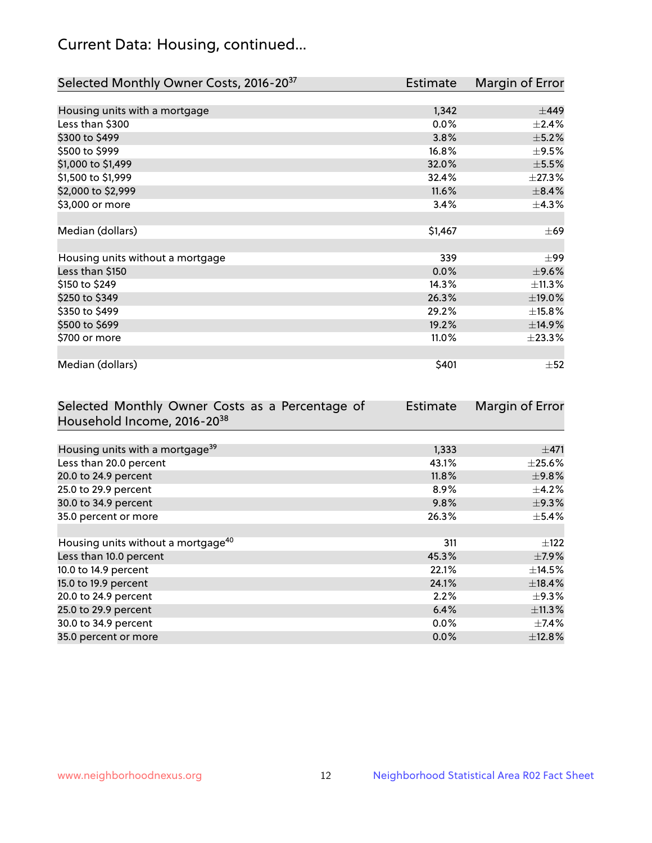# Current Data: Housing, continued...

| Selected Monthly Owner Costs, 2016-20 <sup>37</sup> | Estimate | Margin of Error |
|-----------------------------------------------------|----------|-----------------|
|                                                     |          |                 |
| Housing units with a mortgage                       | 1,342    | $\pm$ 449       |
| Less than \$300                                     | 0.0%     | $\pm 2.4\%$     |
| \$300 to \$499                                      | 3.8%     | $\pm$ 5.2%      |
| \$500 to \$999                                      | 16.8%    | $\pm$ 9.5%      |
| \$1,000 to \$1,499                                  | 32.0%    | $\pm$ 5.5%      |
| \$1,500 to \$1,999                                  | 32.4%    | ±27.3%          |
| \$2,000 to \$2,999                                  | 11.6%    | $\pm$ 8.4%      |
| \$3,000 or more                                     | 3.4%     | $\pm$ 4.3%      |
|                                                     |          |                 |
| Median (dollars)                                    | \$1,467  | $\pm 69$        |
|                                                     |          |                 |
| Housing units without a mortgage                    | 339      | $\pm$ 99        |
| Less than \$150                                     | 0.0%     | $\pm$ 9.6%      |
| \$150 to \$249                                      | 14.3%    | ±11.3%          |
| \$250 to \$349                                      | 26.3%    | ±19.0%          |
| \$350 to \$499                                      | 29.2%    | ±15.8%          |
| \$500 to \$699                                      | 19.2%    | ±14.9%          |
| \$700 or more                                       | 11.0%    | ±23.3%          |
|                                                     |          |                 |
| Median (dollars)                                    | \$401    | $\pm$ 52        |

| Selected Monthly Owner Costs as a Percentage of | <b>Estimate</b> | Margin of Error |
|-------------------------------------------------|-----------------|-----------------|
| Household Income, 2016-20 <sup>38</sup>         |                 |                 |
|                                                 |                 |                 |
| Housing units with a mortgage <sup>39</sup>     | 1,333           | $\pm$ 471       |
| Less than 20.0 percent                          | 43.1%           | $\pm 25.6\%$    |
| 20.0 to 24.9 percent                            | 11.8%           | $\pm$ 9.8%      |
| 25.0 to 29.9 percent                            | 8.9%            | $\pm$ 4.2%      |
| 30.0 to 34.9 percent                            | 9.8%            | $\pm$ 9.3%      |
| 35.0 percent or more                            | 26.3%           | $\pm$ 5.4%      |
|                                                 |                 |                 |
| Housing units without a mortgage <sup>40</sup>  | 311             | $\pm$ 122       |
| Less than 10.0 percent                          | 45.3%           | $\pm$ 7.9%      |
| 10.0 to 14.9 percent                            | 22.1%           | $\pm$ 14.5%     |
| 15.0 to 19.9 percent                            | 24.1%           | $\pm$ 18.4%     |
| 20.0 to 24.9 percent                            | 2.2%            | $\pm$ 9.3%      |
| 25.0 to 29.9 percent                            | 6.4%            | ±11.3%          |
| 30.0 to 34.9 percent                            | $0.0\%$         | $\pm$ 7.4%      |
| 35.0 percent or more                            | 0.0%            | $\pm$ 12.8%     |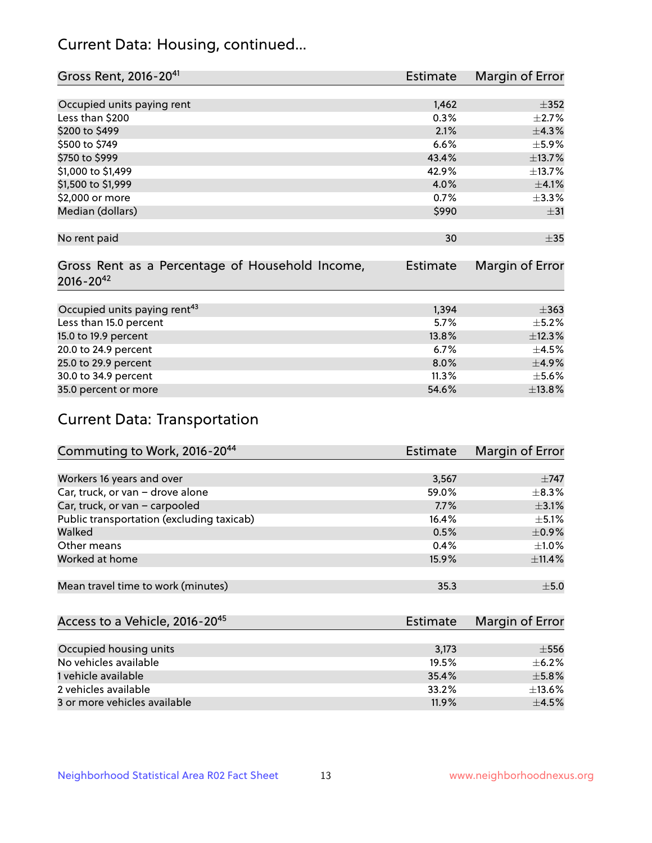# Current Data: Housing, continued...

| Gross Rent, 2016-20 <sup>41</sup>               | <b>Estimate</b> | Margin of Error |
|-------------------------------------------------|-----------------|-----------------|
|                                                 |                 |                 |
| Occupied units paying rent                      | 1,462           | $\pm$ 352       |
| Less than \$200                                 | 0.3%            | $\pm 2.7\%$     |
| \$200 to \$499                                  | 2.1%            | ±4.3%           |
| \$500 to \$749                                  | 6.6%            | $\pm$ 5.9%      |
| \$750 to \$999                                  | 43.4%           | ±13.7%          |
| \$1,000 to \$1,499                              | 42.9%           | ±13.7%          |
| \$1,500 to \$1,999                              | 4.0%            | $\pm$ 4.1%      |
| \$2,000 or more                                 | 0.7%            | $\pm$ 3.3%      |
| Median (dollars)                                | \$990           | $\pm$ 31        |
|                                                 |                 |                 |
| No rent paid                                    | 30              | $\pm 35$        |
|                                                 |                 |                 |
| Gross Rent as a Percentage of Household Income, | <b>Estimate</b> | Margin of Error |
| $2016 - 20^{42}$                                |                 |                 |
|                                                 |                 |                 |
| Occupied units paying rent <sup>43</sup>        | 1,394           | $\pm$ 363       |
| Less than 15.0 percent                          | 5.7%            | $\pm$ 5.2%      |
| 15.0 to 19.9 percent                            | 13.8%           | ±12.3%          |
| 20.0 to 24.9 percent                            | 6.7%            | $\pm$ 4.5%      |
| 25.0 to 29.9 percent                            | 8.0%            | $\pm$ 4.9%      |
| 30.0 to 34.9 percent                            | 11.3%           | $\pm$ 5.6%      |
| 35.0 percent or more                            | 54.6%           | ±13.8%          |

# Current Data: Transportation

| Commuting to Work, 2016-20 <sup>44</sup>  | <b>Estimate</b> | Margin of Error |
|-------------------------------------------|-----------------|-----------------|
|                                           |                 |                 |
| Workers 16 years and over                 | 3,567           | $\pm$ 747       |
| Car, truck, or van - drove alone          | 59.0%           | $\pm$ 8.3%      |
| Car, truck, or van - carpooled            | 7.7%            | $\pm$ 3.1%      |
| Public transportation (excluding taxicab) | 16.4%           | $+5.1%$         |
| Walked                                    | 0.5%            | $\pm$ 0.9%      |
| Other means                               | 0.4%            | $\pm 1.0\%$     |
| Worked at home                            | 15.9%           | ±11.4%          |
|                                           |                 |                 |
| Mean travel time to work (minutes)        | 35.3            | ±5.0            |

| Access to a Vehicle, 2016-20 <sup>45</sup> | Estimate | Margin of Error |
|--------------------------------------------|----------|-----------------|
|                                            |          |                 |
| Occupied housing units                     | 3,173    | $\pm$ 556       |
| No vehicles available                      | 19.5%    | $+6.2%$         |
| 1 vehicle available                        | 35.4%    | $\pm$ 5.8%      |
| 2 vehicles available                       | 33.2%    | $\pm$ 13.6%     |
| 3 or more vehicles available               | 11.9%    | $+4.5%$         |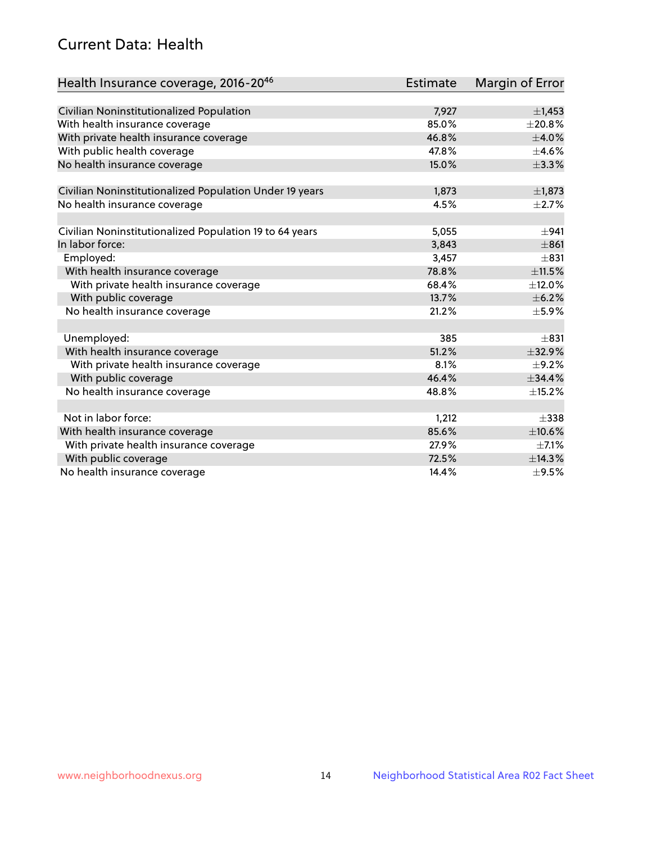# Current Data: Health

| Health Insurance coverage, 2016-2046                    | Estimate | <b>Margin of Error</b> |
|---------------------------------------------------------|----------|------------------------|
|                                                         |          |                        |
| Civilian Noninstitutionalized Population                | 7,927    | $\pm$ 1,453            |
| With health insurance coverage                          | 85.0%    | ±20.8%                 |
| With private health insurance coverage                  | 46.8%    | $\pm$ 4.0%             |
| With public health coverage                             | 47.8%    | $\pm$ 4.6%             |
| No health insurance coverage                            | 15.0%    | ±3.3%                  |
| Civilian Noninstitutionalized Population Under 19 years | 1,873    | $\pm$ 1,873            |
| No health insurance coverage                            | 4.5%     | $\pm 2.7\%$            |
|                                                         |          |                        |
| Civilian Noninstitutionalized Population 19 to 64 years | 5,055    | ±941                   |
| In labor force:                                         | 3,843    | $\pm 861$              |
| Employed:                                               | 3,457    | $\pm 831$              |
| With health insurance coverage                          | 78.8%    | $\pm$ 11.5%            |
| With private health insurance coverage                  | 68.4%    | ±12.0%                 |
| With public coverage                                    | 13.7%    | $\pm$ 6.2%             |
| No health insurance coverage                            | 21.2%    | $\pm$ 5.9%             |
|                                                         |          |                        |
| Unemployed:                                             | 385      | $\pm 831$              |
| With health insurance coverage                          | 51.2%    | ±32.9%                 |
| With private health insurance coverage                  | 8.1%     | $\pm$ 9.2%             |
| With public coverage                                    | 46.4%    | ±34.4%                 |
| No health insurance coverage                            | 48.8%    | ±15.2%                 |
|                                                         |          |                        |
| Not in labor force:                                     | 1,212    | $\pm$ 338              |
| With health insurance coverage                          | 85.6%    | $\pm$ 10.6%            |
| With private health insurance coverage                  | 27.9%    | $\pm$ 7.1%             |
| With public coverage                                    | 72.5%    | ±14.3%                 |
| No health insurance coverage                            | 14.4%    | $\pm$ 9.5%             |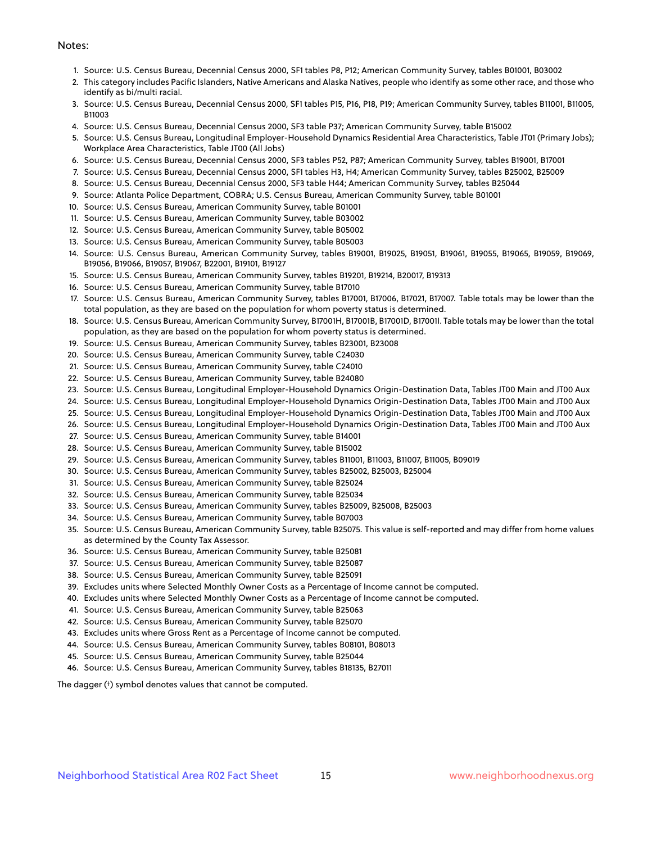#### Notes:

- 1. Source: U.S. Census Bureau, Decennial Census 2000, SF1 tables P8, P12; American Community Survey, tables B01001, B03002
- 2. This category includes Pacific Islanders, Native Americans and Alaska Natives, people who identify as some other race, and those who identify as bi/multi racial.
- 3. Source: U.S. Census Bureau, Decennial Census 2000, SF1 tables P15, P16, P18, P19; American Community Survey, tables B11001, B11005, B11003
- 4. Source: U.S. Census Bureau, Decennial Census 2000, SF3 table P37; American Community Survey, table B15002
- 5. Source: U.S. Census Bureau, Longitudinal Employer-Household Dynamics Residential Area Characteristics, Table JT01 (Primary Jobs); Workplace Area Characteristics, Table JT00 (All Jobs)
- 6. Source: U.S. Census Bureau, Decennial Census 2000, SF3 tables P52, P87; American Community Survey, tables B19001, B17001
- 7. Source: U.S. Census Bureau, Decennial Census 2000, SF1 tables H3, H4; American Community Survey, tables B25002, B25009
- 8. Source: U.S. Census Bureau, Decennial Census 2000, SF3 table H44; American Community Survey, tables B25044
- 9. Source: Atlanta Police Department, COBRA; U.S. Census Bureau, American Community Survey, table B01001
- 10. Source: U.S. Census Bureau, American Community Survey, table B01001
- 11. Source: U.S. Census Bureau, American Community Survey, table B03002
- 12. Source: U.S. Census Bureau, American Community Survey, table B05002
- 13. Source: U.S. Census Bureau, American Community Survey, table B05003
- 14. Source: U.S. Census Bureau, American Community Survey, tables B19001, B19025, B19051, B19061, B19055, B19065, B19059, B19069, B19056, B19066, B19057, B19067, B22001, B19101, B19127
- 15. Source: U.S. Census Bureau, American Community Survey, tables B19201, B19214, B20017, B19313
- 16. Source: U.S. Census Bureau, American Community Survey, table B17010
- 17. Source: U.S. Census Bureau, American Community Survey, tables B17001, B17006, B17021, B17007. Table totals may be lower than the total population, as they are based on the population for whom poverty status is determined.
- 18. Source: U.S. Census Bureau, American Community Survey, B17001H, B17001B, B17001D, B17001I. Table totals may be lower than the total population, as they are based on the population for whom poverty status is determined.
- 19. Source: U.S. Census Bureau, American Community Survey, tables B23001, B23008
- 20. Source: U.S. Census Bureau, American Community Survey, table C24030
- 21. Source: U.S. Census Bureau, American Community Survey, table C24010
- 22. Source: U.S. Census Bureau, American Community Survey, table B24080
- 23. Source: U.S. Census Bureau, Longitudinal Employer-Household Dynamics Origin-Destination Data, Tables JT00 Main and JT00 Aux
- 24. Source: U.S. Census Bureau, Longitudinal Employer-Household Dynamics Origin-Destination Data, Tables JT00 Main and JT00 Aux
- 25. Source: U.S. Census Bureau, Longitudinal Employer-Household Dynamics Origin-Destination Data, Tables JT00 Main and JT00 Aux
- 26. Source: U.S. Census Bureau, Longitudinal Employer-Household Dynamics Origin-Destination Data, Tables JT00 Main and JT00 Aux
- 27. Source: U.S. Census Bureau, American Community Survey, table B14001
- 28. Source: U.S. Census Bureau, American Community Survey, table B15002
- 29. Source: U.S. Census Bureau, American Community Survey, tables B11001, B11003, B11007, B11005, B09019
- 30. Source: U.S. Census Bureau, American Community Survey, tables B25002, B25003, B25004
- 31. Source: U.S. Census Bureau, American Community Survey, table B25024
- 32. Source: U.S. Census Bureau, American Community Survey, table B25034
- 33. Source: U.S. Census Bureau, American Community Survey, tables B25009, B25008, B25003
- 34. Source: U.S. Census Bureau, American Community Survey, table B07003
- 35. Source: U.S. Census Bureau, American Community Survey, table B25075. This value is self-reported and may differ from home values as determined by the County Tax Assessor.
- 36. Source: U.S. Census Bureau, American Community Survey, table B25081
- 37. Source: U.S. Census Bureau, American Community Survey, table B25087
- 38. Source: U.S. Census Bureau, American Community Survey, table B25091
- 39. Excludes units where Selected Monthly Owner Costs as a Percentage of Income cannot be computed.
- 40. Excludes units where Selected Monthly Owner Costs as a Percentage of Income cannot be computed.
- 41. Source: U.S. Census Bureau, American Community Survey, table B25063
- 42. Source: U.S. Census Bureau, American Community Survey, table B25070
- 43. Excludes units where Gross Rent as a Percentage of Income cannot be computed.
- 44. Source: U.S. Census Bureau, American Community Survey, tables B08101, B08013
- 45. Source: U.S. Census Bureau, American Community Survey, table B25044
- 46. Source: U.S. Census Bureau, American Community Survey, tables B18135, B27011

The dagger (†) symbol denotes values that cannot be computed.